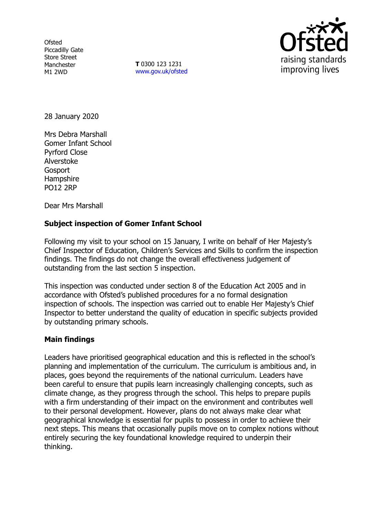**Ofsted** Piccadilly Gate Store Street Manchester M1 2WD

**T** 0300 123 1231 [www.gov.uk/ofsted](http://www.gov.uk/ofsted)



28 January 2020

Mrs Debra Marshall Gomer Infant School Pyrford Close Alverstoke **Gosport Hampshire** PO12 2RP

Dear Mrs Marshall

## **Subject inspection of Gomer Infant School**

Following my visit to your school on 15 January, I write on behalf of Her Majesty's Chief Inspector of Education, Children's Services and Skills to confirm the inspection findings. The findings do not change the overall effectiveness judgement of outstanding from the last section 5 inspection.

This inspection was conducted under section 8 of the Education Act 2005 and in accordance with Ofsted's published procedures for a no formal designation inspection of schools. The inspection was carried out to enable Her Majesty's Chief Inspector to better understand the quality of education in specific subjects provided by outstanding primary schools.

## **Main findings**

Leaders have prioritised geographical education and this is reflected in the school's planning and implementation of the curriculum. The curriculum is ambitious and, in places, goes beyond the requirements of the national curriculum. Leaders have been careful to ensure that pupils learn increasingly challenging concepts, such as climate change, as they progress through the school. This helps to prepare pupils with a firm understanding of their impact on the environment and contributes well to their personal development. However, plans do not always make clear what geographical knowledge is essential for pupils to possess in order to achieve their next steps. This means that occasionally pupils move on to complex notions without entirely securing the key foundational knowledge required to underpin their thinking.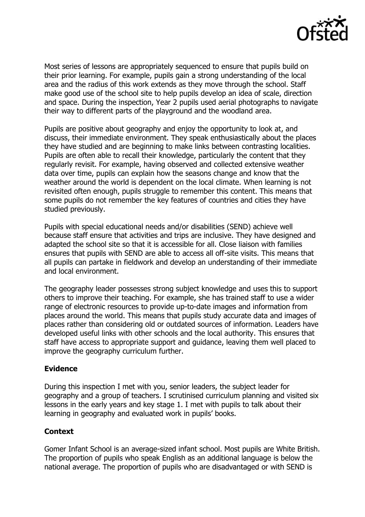

Most series of lessons are appropriately sequenced to ensure that pupils build on their prior learning. For example, pupils gain a strong understanding of the local area and the radius of this work extends as they move through the school. Staff make good use of the school site to help pupils develop an idea of scale, direction and space. During the inspection, Year 2 pupils used aerial photographs to navigate their way to different parts of the playground and the woodland area.

Pupils are positive about geography and enjoy the opportunity to look at, and discuss, their immediate environment. They speak enthusiastically about the places they have studied and are beginning to make links between contrasting localities. Pupils are often able to recall their knowledge, particularly the content that they regularly revisit. For example, having observed and collected extensive weather data over time, pupils can explain how the seasons change and know that the weather around the world is dependent on the local climate. When learning is not revisited often enough, pupils struggle to remember this content. This means that some pupils do not remember the key features of countries and cities they have studied previously.

Pupils with special educational needs and/or disabilities (SEND) achieve well because staff ensure that activities and trips are inclusive. They have designed and adapted the school site so that it is accessible for all. Close liaison with families ensures that pupils with SEND are able to access all off-site visits. This means that all pupils can partake in fieldwork and develop an understanding of their immediate and local environment.

The geography leader possesses strong subject knowledge and uses this to support others to improve their teaching. For example, she has trained staff to use a wider range of electronic resources to provide up-to-date images and information from places around the world. This means that pupils study accurate data and images of places rather than considering old or outdated sources of information. Leaders have developed useful links with other schools and the local authority. This ensures that staff have access to appropriate support and guidance, leaving them well placed to improve the geography curriculum further.

## **Evidence**

During this inspection I met with you, senior leaders, the subject leader for geography and a group of teachers. I scrutinised curriculum planning and visited six lessons in the early years and key stage 1. I met with pupils to talk about their learning in geography and evaluated work in pupils' books.

## **Context**

Gomer Infant School is an average-sized infant school. Most pupils are White British. The proportion of pupils who speak English as an additional language is below the national average. The proportion of pupils who are disadvantaged or with SEND is